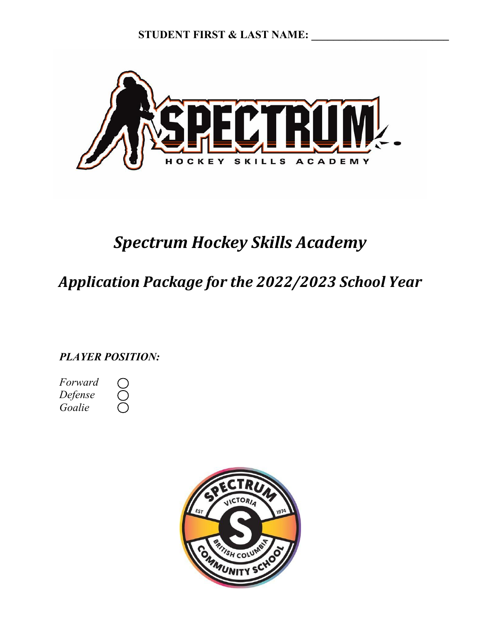**STUDENT FIRST & LAST NAME:** 



# *Spectrum Hockey Skills Academy*

# *Application Package for the 2022/2023 School Year*

*PLAYER POSITION:*

*Forward Defense Goalie*

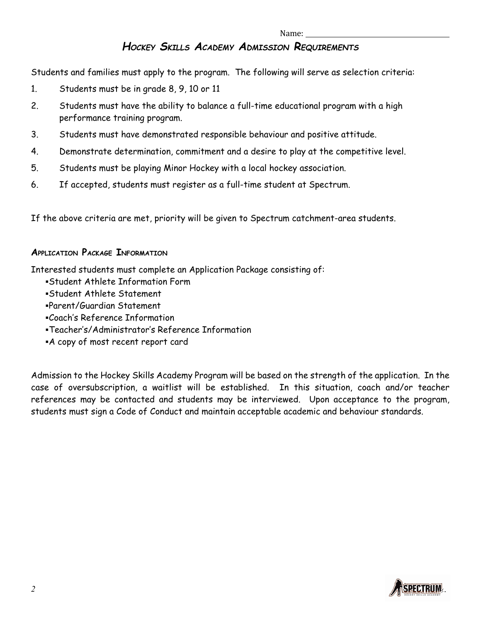### *HOCKEY SKILLS ACADEMY ADMISSION REQUIREMENTS*

Students and families must apply to the program. The following will serve as selection criteria:

- 1. Students must be in grade 8, 9, 10 or 11
- 2. Students must have the ability to balance a full-time educational program with a high performance training program.
- 3. Students must have demonstrated responsible behaviour and positive attitude.
- 4. Demonstrate determination, commitment and a desire to play at the competitive level.
- 5. Students must be playing Minor Hockey with a local hockey association.
- 6. If accepted, students must register as a full-time student at Spectrum.

If the above criteria are met, priority will be given to Spectrum catchment-area students.

### **APPLICATION PACKAGE INFORMATION**

Interested students must complete an Application Package consisting of:

- Student Athlete Information Form
- Student Athlete Statement
- Parent/Guardian Statement
- Coach's Reference Information
- Teacher's/Administrator's Reference Information
- A copy of most recent report card

Admission to the Hockey Skills Academy Program will be based on the strength of the application. In the case of oversubscription, a waitlist will be established. In this situation, coach and/or teacher references may be contacted and students may be interviewed. Upon acceptance to the program, students must sign a Code of Conduct and maintain acceptable academic and behaviour standards.

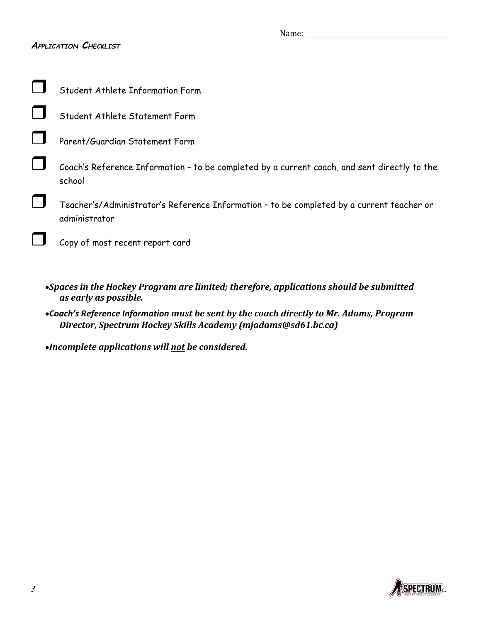### *APPLICATION CHECKLIST*

| Student Athlete Information Form                                                                           |
|------------------------------------------------------------------------------------------------------------|
| Student Athlete Statement Form                                                                             |
| Parent/Guardian Statement Form                                                                             |
| Coach's Reference Information - to be completed by a current coach, and sent directly to the<br>school     |
| Teacher's/Administrator's Reference Information - to be completed by a current teacher or<br>administrator |
| Copy of most recent report card                                                                            |
|                                                                                                            |

- *Spaces in the Hockey Program are limited; therefore, applications should be submitted as early as possible.*
- *Coach's Reference Information must be sent by the coach directly to Mr. Adams, Program Director, Spectrum Hockey Skills Academy (mjadams@sd61.bc.ca)*

*Incomplete applications will not be considered.*

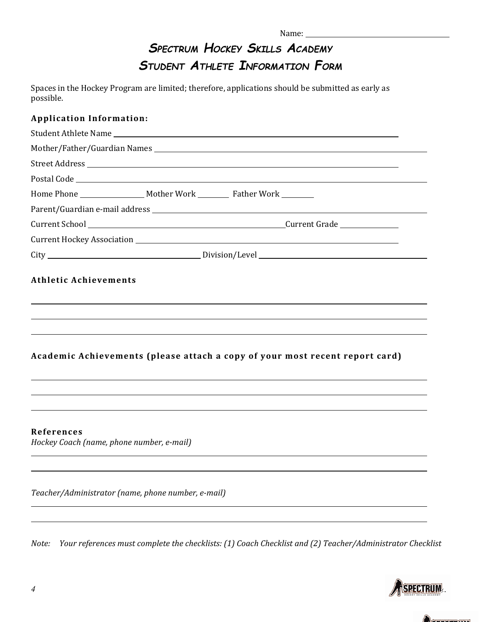# *SPECTRUM HOCKEY SKILLS ACADEMY STUDENT ATHLETE INFORMATION FORM*

Spaces in the Hockey Program are limited; therefore, applications should be submitted as early as possible.

### **Application Information:**

|                                                         |                                                    | Home Phone __________________ Mother Work _________ Father Work ________     |
|---------------------------------------------------------|----------------------------------------------------|------------------------------------------------------------------------------|
|                                                         |                                                    |                                                                              |
|                                                         |                                                    |                                                                              |
|                                                         |                                                    |                                                                              |
|                                                         |                                                    |                                                                              |
|                                                         |                                                    | Academic Achievements (please attach a copy of your most recent report card) |
| References<br>Hockey Coach (name, phone number, e-mail) |                                                    |                                                                              |
|                                                         | Teacher/Administrator (name, phone number, e-mail) |                                                                              |

*Note: Your references must complete the checklists: (1) Coach Checklist and (2) Teacher/Administrator Checklist*

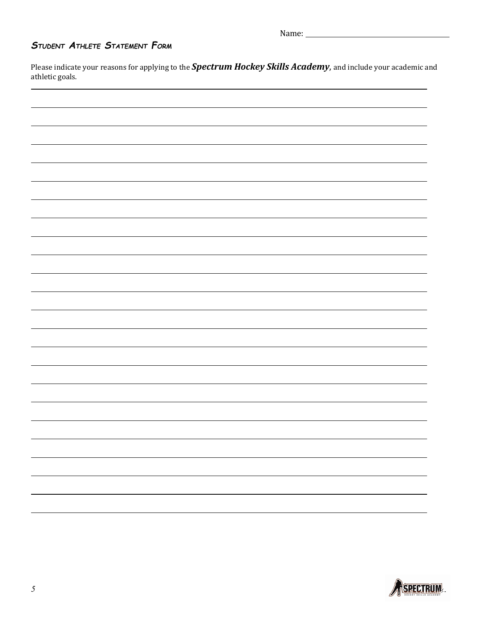Name:

## *STUDENT ATHLETE STATEMENT FORM*

Please indicate your reasons for applying to the *Spectrum Hockey Skills Academy*, and include your academic and athletic goals.

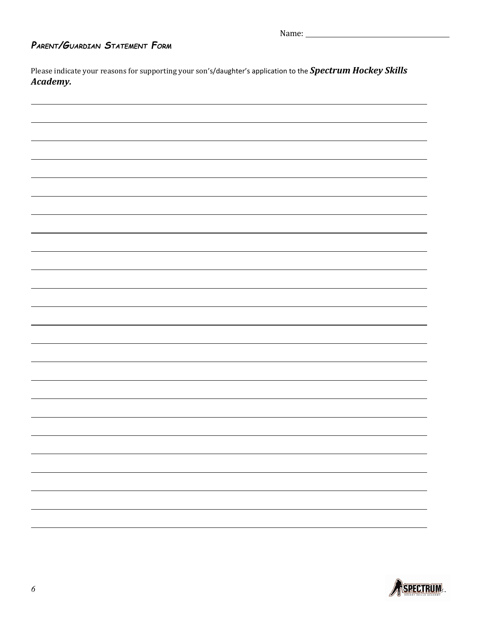# *PARENT/GUARDIAN STATEMENT FORM*

Please indicate your reasons for supporting your son's/daughter's application to the *Spectrum Hockey Skills Academy.*

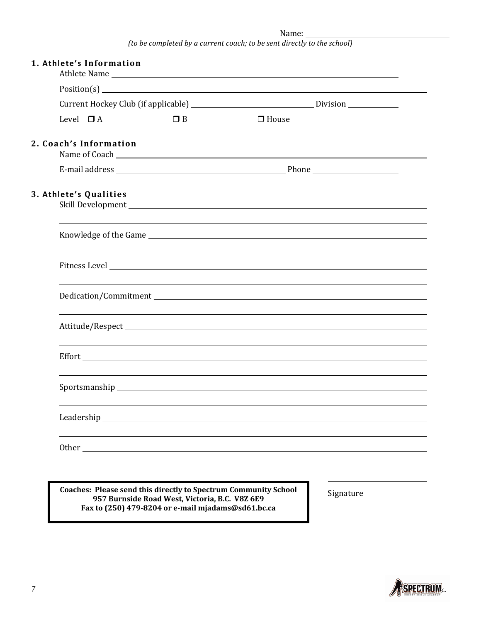Name:

| 1. Athlete's Information |          |              |  |
|--------------------------|----------|--------------|--|
|                          |          |              |  |
|                          |          |              |  |
| Level $\Box$ A           | $\Box$ B | $\Box$ House |  |
| 2. Coach's Information   |          |              |  |
|                          |          |              |  |
| 3. Athlete's Qualities   |          |              |  |
|                          |          |              |  |
|                          |          |              |  |
|                          |          |              |  |
|                          |          |              |  |
|                          |          |              |  |
|                          |          |              |  |
|                          |          |              |  |
|                          |          |              |  |

**Coaches: Please send this directly to Spectrum Community School Signature 957 Burnside Road West, Victoria, B.C. V8Z 6E9 Fax to (250) 479-8204 or e-mail mjadams@sd61.bc.ca**